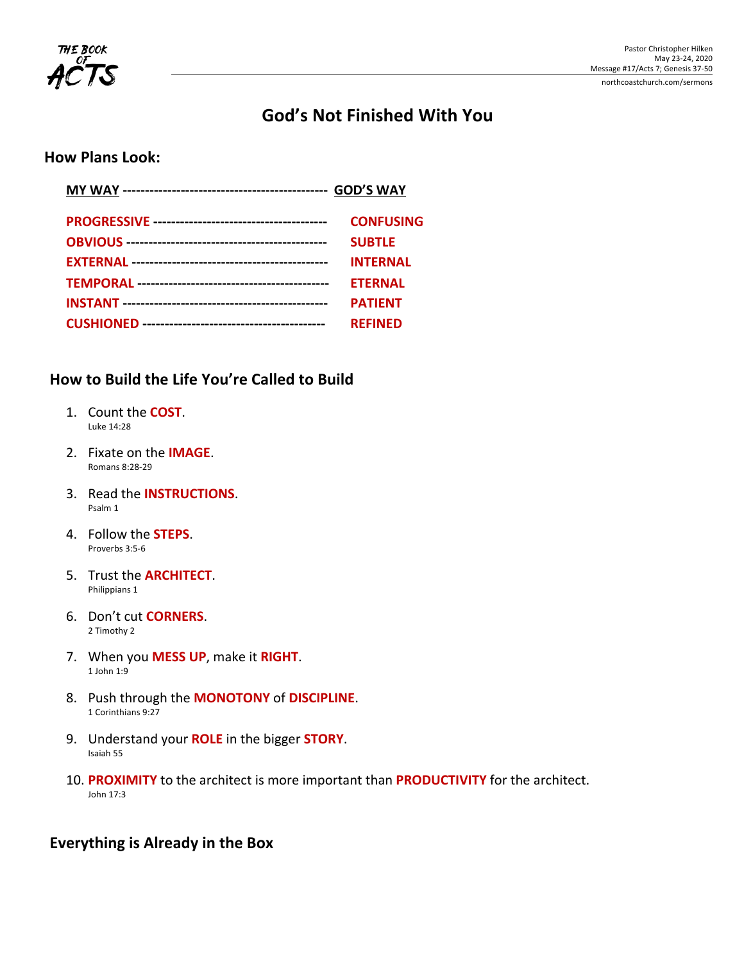

# **God's Not Finished With You**

## **How Plans Look:**

| <b>CONFUSING</b> |
|------------------|
| <b>SUBTLE</b>    |
| <b>INTERNAL</b>  |
| <b>ETERNAL</b>   |
| <b>PATIENT</b>   |
| <b>REFINED</b>   |

## **How to Build the Life You're Called to Build**

- 1. Count the **COST**. Luke 14:28
- 2. Fixate on the **IMAGE**. Romans 8:28-29
- 3. Read the **INSTRUCTIONS**. Psalm 1
- 4. Follow the **STEPS**. Proverbs 3:5-6
- 5. Trust the **ARCHITECT**. Philippians 1
- 6. Don't cut **CORNERS**. 2 Timothy 2
- 7. When you **MESS UP**, make it RIGHT. 1 John 1:9
- 8. Push through the **MONOTONY** of **DISCIPLINE**. 1 Corinthians 9:27
- 9. Understand your **ROLE** in the bigger **STORY**. Isaiah 55
- 10. PROXIMITY to the architect is more important than PRODUCTIVITY for the architect. John 17:3

## **Everything is Already in the Box**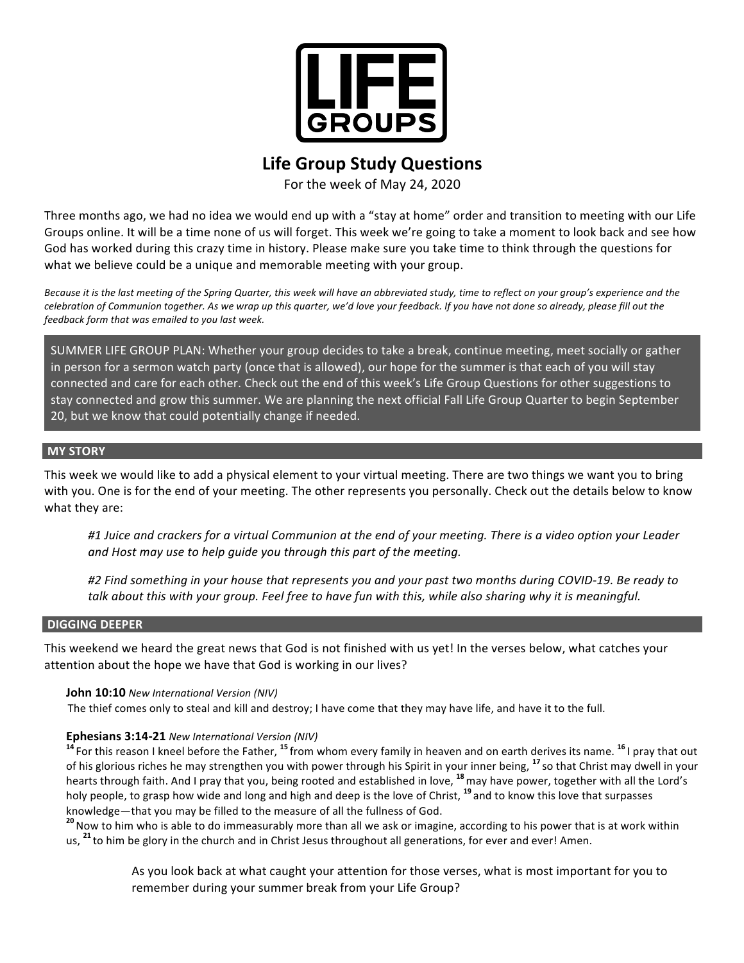

## **Life Group Study Questions**

For the week of May 24, 2020

Three months ago, we had no idea we would end up with a "stay at home" order and transition to meeting with our Life Groups online. It will be a time none of us will forget. This week we're going to take a moment to look back and see how God has worked during this crazy time in history. Please make sure you take time to think through the questions for what we believe could be a unique and memorable meeting with your group.

Because it is the last meeting of the Spring Quarter, this week will have an abbreviated study, time to reflect on your group's experience and the celebration of Communion together. As we wrap up this quarter, we'd love your feedback. If you have not done so already, please fill out the *feedback form that was emailed to you last week.*

SUMMER LIFE GROUP PLAN: Whether your group decides to take a break, continue meeting, meet socially or gather in person for a sermon watch party (once that is allowed), our hope for the summer is that each of you will stay connected and care for each other. Check out the end of this week's Life Group Questions for other suggestions to stay connected and grow this summer. We are planning the next official Fall Life Group Quarter to begin September 20, but we know that could potentially change if needed.

#### **MY STORY**

This week we would like to add a physical element to your virtual meeting. There are two things we want you to bring with you. One is for the end of your meeting. The other represents you personally. Check out the details below to know what they are:

#1 Juice and crackers for a virtual Communion at the end of your meeting. There is a video option your Leader and Host may use to help guide you through this part of the meeting.

#2 Find something in your house that represents you and your past two months during COVID-19. Be ready to talk about this with your group. Feel free to have fun with this, while also sharing why it is meaningful.

#### **DIGGING DEEPER**

This weekend we heard the great news that God is not finished with us yet! In the verses below, what catches your attention about the hope we have that God is working in our lives?

#### **John 10:10** New International Version (NIV)

The thief comes only to steal and kill and destroy; I have come that they may have life, and have it to the full.

#### **Ephesians 3:14-21** *New International Version (NIV)*

<sup>14</sup> For this reason I kneel before the Father, <sup>15</sup> from whom every family in heaven and on earth derives its name. <sup>16</sup> I pray that out of his glorious riches he may strengthen you with power through his Spirit in your inner being, <sup>17</sup> so that Christ may dwell in your hearts through faith. And I pray that you, being rooted and established in love, <sup>18</sup> may have power, together with all the Lord's holy people, to grasp how wide and long and high and deep is the love of Christ, <sup>19</sup> and to know this love that surpasses

knowledge—that you may be filled to the measure of all the fullness of God.<br><sup>20</sup> Now to him who is able to do immeasurably more than all we ask or imagine, according to his power that is at work within us, <sup>21</sup> to him be glory in the church and in Christ Jesus throughout all generations, for ever and ever! Amen.

> As you look back at what caught your attention for those verses, what is most important for you to remember during your summer break from your Life Group?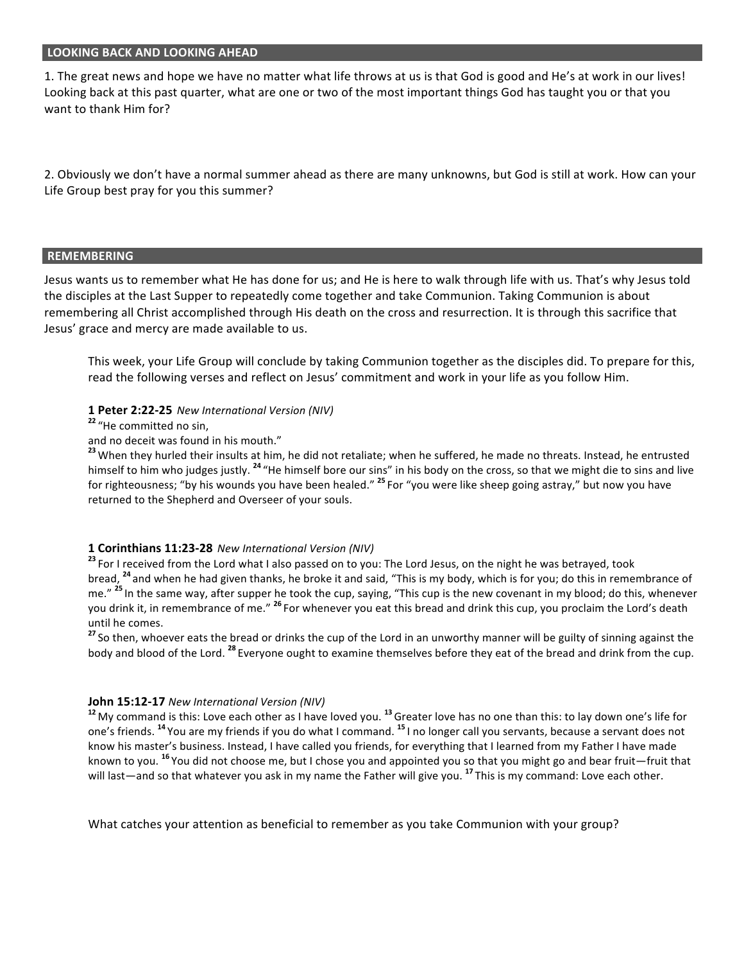#### **LOOKING BACK AND LOOKING AHEAD**

1. The great news and hope we have no matter what life throws at us is that God is good and He's at work in our lives! Looking back at this past quarter, what are one or two of the most important things God has taught you or that you want to thank Him for?

2. Obviously we don't have a normal summer ahead as there are many unknowns, but God is still at work. How can your Life Group best pray for you this summer?

#### **REMEMBERING**

Jesus wants us to remember what He has done for us; and He is here to walk through life with us. That's why Jesus told the disciples at the Last Supper to repeatedly come together and take Communion. Taking Communion is about remembering all Christ accomplished through His death on the cross and resurrection. It is through this sacrifice that Jesus' grace and mercy are made available to us.

This week, your Life Group will conclude by taking Communion together as the disciples did. To prepare for this, read the following verses and reflect on Jesus' commitment and work in your life as you follow Him.

#### **1 Peter 2:22-25** *New International Version (NIV)*

#### <sup>22</sup> "He committed no sin,

and no deceit was found in his mouth."

<sup>23</sup> When they hurled their insults at him, he did not retaliate; when he suffered, he made no threats. Instead, he entrusted himself to him who judges justly. <sup>24</sup> "He himself bore our sins" in his body on the cross, so that we might die to sins and live for righteousness; "by his wounds you have been healed." <sup>25</sup> For "you were like sheep going astray," but now you have returned to the Shepherd and Overseer of your souls.

#### **1 Corinthians 11:23-28** *New International Version (NIV)*

<sup>23</sup> For I received from the Lord what I also passed on to you: The Lord Jesus, on the night he was betrayed, took bread, <sup>24</sup> and when he had given thanks, he broke it and said, "This is my body, which is for you; do this in remembrance of me." <sup>25</sup> In the same way, after supper he took the cup, saying, "This cup is the new covenant in my blood; do this, whenever you drink it, in remembrance of me." <sup>26</sup> For whenever you eat this bread and drink this cup, you proclaim the Lord's death until he comes.

<sup>27</sup> So then, whoever eats the bread or drinks the cup of the Lord in an unworthy manner will be guilty of sinning against the body and blood of the Lord. <sup>28</sup> Everyone ought to examine themselves before they eat of the bread and drink from the cup.

#### **John 15:12-17** New International Version (NIV)

<sup>12</sup> My command is this: Love each other as I have loved you. <sup>13</sup> Greater love has no one than this: to lay down one's life for one's friends. <sup>14</sup> You are my friends if you do what I command. <sup>15</sup> I no longer call you servants, because a servant does not know his master's business. Instead, I have called you friends, for everything that I learned from my Father I have made known to you. <sup>16</sup> You did not choose me, but I chose you and appointed you so that you might go and bear fruit—fruit that will last—and so that whatever you ask in my name the Father will give you. <sup>17</sup> This is my command: Love each other.

What catches your attention as beneficial to remember as you take Communion with your group?